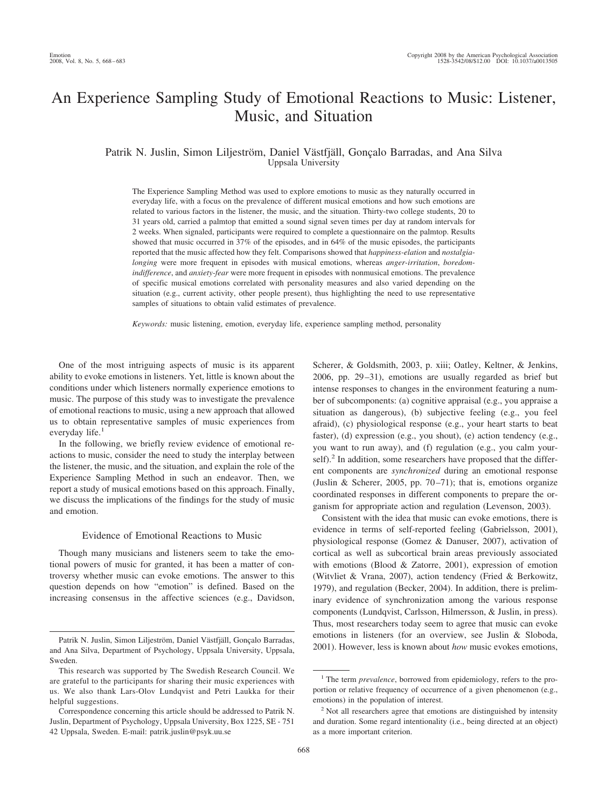# An Experience Sampling Study of Emotional Reactions to Music: Listener, Music, and Situation

# Patrik N. Juslin, Simon Liljeström, Daniel Västfjäll, Gonçalo Barradas, and Ana Silva Uppsala University

The Experience Sampling Method was used to explore emotions to music as they naturally occurred in everyday life, with a focus on the prevalence of different musical emotions and how such emotions are related to various factors in the listener, the music, and the situation. Thirty-two college students, 20 to 31 years old, carried a palmtop that emitted a sound signal seven times per day at random intervals for 2 weeks. When signaled, participants were required to complete a questionnaire on the palmtop. Results showed that music occurred in 37% of the episodes, and in 64% of the music episodes, the participants reported that the music affected how they felt. Comparisons showed that *happiness-elation* and *nostalgialonging* were more frequent in episodes with musical emotions, whereas *anger-irritation*, *boredomindifference*, and *anxiety-fear* were more frequent in episodes with nonmusical emotions. The prevalence of specific musical emotions correlated with personality measures and also varied depending on the situation (e.g., current activity, other people present), thus highlighting the need to use representative samples of situations to obtain valid estimates of prevalence.

*Keywords:* music listening, emotion, everyday life, experience sampling method, personality

One of the most intriguing aspects of music is its apparent ability to evoke emotions in listeners. Yet, little is known about the conditions under which listeners normally experience emotions to music. The purpose of this study was to investigate the prevalence of emotional reactions to music, using a new approach that allowed us to obtain representative samples of music experiences from everyday life. $<sup>1</sup>$ </sup>

In the following, we briefly review evidence of emotional reactions to music, consider the need to study the interplay between the listener, the music, and the situation, and explain the role of the Experience Sampling Method in such an endeavor. Then, we report a study of musical emotions based on this approach. Finally, we discuss the implications of the findings for the study of music and emotion.

#### Evidence of Emotional Reactions to Music

Though many musicians and listeners seem to take the emotional powers of music for granted, it has been a matter of controversy whether music can evoke emotions. The answer to this question depends on how "emotion" is defined. Based on the increasing consensus in the affective sciences (e.g., Davidson, Scherer, & Goldsmith, 2003, p. xiii; Oatley, Keltner, & Jenkins, 2006, pp. 29 –31), emotions are usually regarded as brief but intense responses to changes in the environment featuring a number of subcomponents: (a) cognitive appraisal (e.g., you appraise a situation as dangerous), (b) subjective feeling (e.g., you feel afraid), (c) physiological response (e.g., your heart starts to beat faster), (d) expression (e.g., you shout), (e) action tendency (e.g., you want to run away), and (f) regulation (e.g., you calm yourself). $^{2}$  In addition, some researchers have proposed that the different components are *synchronized* during an emotional response (Juslin & Scherer, 2005, pp. 70-71); that is, emotions organize coordinated responses in different components to prepare the organism for appropriate action and regulation (Levenson, 2003).

Consistent with the idea that music can evoke emotions, there is evidence in terms of self-reported feeling (Gabrielsson, 2001), physiological response (Gomez & Danuser, 2007), activation of cortical as well as subcortical brain areas previously associated with emotions (Blood & Zatorre, 2001), expression of emotion (Witvliet & Vrana, 2007), action tendency (Fried & Berkowitz, 1979), and regulation (Becker, 2004). In addition, there is preliminary evidence of synchronization among the various response components (Lundqvist, Carlsson, Hilmersson, & Juslin, in press). Thus, most researchers today seem to agree that music can evoke emotions in listeners (for an overview, see Juslin & Sloboda, 2001). However, less is known about *how* music evokes emotions,

Patrik N. Juslin, Simon Liljeström, Daniel Västfjäll, Gonçalo Barradas, and Ana Silva, Department of Psychology, Uppsala University, Uppsala, Sweden.

This research was supported by The Swedish Research Council. We are grateful to the participants for sharing their music experiences with us. We also thank Lars-Olov Lundqvist and Petri Laukka for their helpful suggestions.

Correspondence concerning this article should be addressed to Patrik N. Juslin, Department of Psychology, Uppsala University, Box 1225, SE - 751 42 Uppsala, Sweden. E-mail: patrik.juslin@psyk.uu.se

<sup>&</sup>lt;sup>1</sup> The term *prevalence*, borrowed from epidemiology, refers to the proportion or relative frequency of occurrence of a given phenomenon (e.g., emotions) in the population of interest.

<sup>&</sup>lt;sup>2</sup> Not all researchers agree that emotions are distinguished by intensity and duration. Some regard intentionality (i.e., being directed at an object) as a more important criterion.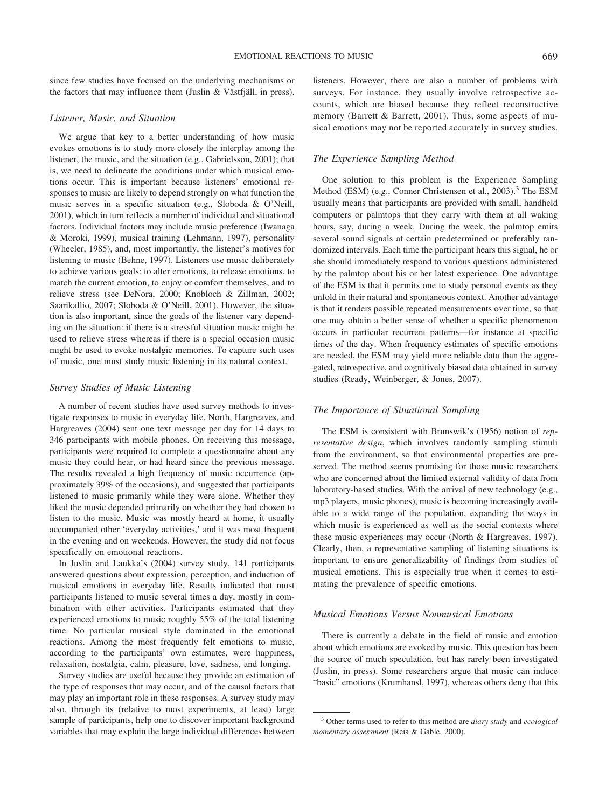since few studies have focused on the underlying mechanisms or the factors that may influence them (Juslin  $& V\ddot{a}$ stfjäll, in press).

## *Listener, Music, and Situation*

We argue that key to a better understanding of how music evokes emotions is to study more closely the interplay among the listener, the music, and the situation (e.g., Gabrielsson, 2001); that is, we need to delineate the conditions under which musical emotions occur. This is important because listeners' emotional responses to music are likely to depend strongly on what function the music serves in a specific situation (e.g., Sloboda & O'Neill, 2001), which in turn reflects a number of individual and situational factors. Individual factors may include music preference (Iwanaga & Moroki, 1999), musical training (Lehmann, 1997), personality (Wheeler, 1985), and, most importantly, the listener's motives for listening to music (Behne, 1997). Listeners use music deliberately to achieve various goals: to alter emotions, to release emotions, to match the current emotion, to enjoy or comfort themselves, and to relieve stress (see DeNora, 2000; Knobloch & Zillman, 2002; Saarikallio, 2007; Sloboda & O'Neill, 2001). However, the situation is also important, since the goals of the listener vary depending on the situation: if there is a stressful situation music might be used to relieve stress whereas if there is a special occasion music might be used to evoke nostalgic memories. To capture such uses of music, one must study music listening in its natural context.

## *Survey Studies of Music Listening*

A number of recent studies have used survey methods to investigate responses to music in everyday life. North, Hargreaves, and Hargreaves (2004) sent one text message per day for 14 days to 346 participants with mobile phones. On receiving this message, participants were required to complete a questionnaire about any music they could hear, or had heard since the previous message. The results revealed a high frequency of music occurrence (approximately 39% of the occasions), and suggested that participants listened to music primarily while they were alone. Whether they liked the music depended primarily on whether they had chosen to listen to the music. Music was mostly heard at home, it usually accompanied other 'everyday activities,' and it was most frequent in the evening and on weekends. However, the study did not focus specifically on emotional reactions.

In Juslin and Laukka's (2004) survey study, 141 participants answered questions about expression, perception, and induction of musical emotions in everyday life. Results indicated that most participants listened to music several times a day, mostly in combination with other activities. Participants estimated that they experienced emotions to music roughly 55% of the total listening time. No particular musical style dominated in the emotional reactions. Among the most frequently felt emotions to music, according to the participants' own estimates, were happiness, relaxation, nostalgia, calm, pleasure, love, sadness, and longing.

Survey studies are useful because they provide an estimation of the type of responses that may occur, and of the causal factors that may play an important role in these responses. A survey study may also, through its (relative to most experiments, at least) large sample of participants, help one to discover important background variables that may explain the large individual differences between listeners. However, there are also a number of problems with surveys. For instance, they usually involve retrospective accounts, which are biased because they reflect reconstructive memory (Barrett & Barrett, 2001). Thus, some aspects of musical emotions may not be reported accurately in survey studies.

#### *The Experience Sampling Method*

One solution to this problem is the Experience Sampling Method (ESM) (e.g., Conner Christensen et al., 2003).<sup>3</sup> The ESM usually means that participants are provided with small, handheld computers or palmtops that they carry with them at all waking hours, say, during a week. During the week, the palmtop emits several sound signals at certain predetermined or preferably randomized intervals. Each time the participant hears this signal, he or she should immediately respond to various questions administered by the palmtop about his or her latest experience. One advantage of the ESM is that it permits one to study personal events as they unfold in their natural and spontaneous context. Another advantage is that it renders possible repeated measurements over time, so that one may obtain a better sense of whether a specific phenomenon occurs in particular recurrent patterns—for instance at specific times of the day. When frequency estimates of specific emotions are needed, the ESM may yield more reliable data than the aggregated, retrospective, and cognitively biased data obtained in survey studies (Ready, Weinberger, & Jones, 2007).

## *The Importance of Situational Sampling*

The ESM is consistent with Brunswik's (1956) notion of *representative design*, which involves randomly sampling stimuli from the environment, so that environmental properties are preserved. The method seems promising for those music researchers who are concerned about the limited external validity of data from laboratory-based studies. With the arrival of new technology (e.g., mp3 players, music phones), music is becoming increasingly available to a wide range of the population, expanding the ways in which music is experienced as well as the social contexts where these music experiences may occur (North & Hargreaves, 1997). Clearly, then, a representative sampling of listening situations is important to ensure generalizability of findings from studies of musical emotions. This is especially true when it comes to estimating the prevalence of specific emotions.

## *Musical Emotions Versus Nonmusical Emotions*

There is currently a debate in the field of music and emotion about which emotions are evoked by music. This question has been the source of much speculation, but has rarely been investigated (Juslin, in press). Some researchers argue that music can induce "basic" emotions (Krumhansl, 1997), whereas others deny that this

<sup>3</sup> Other terms used to refer to this method are *diary study* and *ecological momentary assessment* (Reis & Gable, 2000).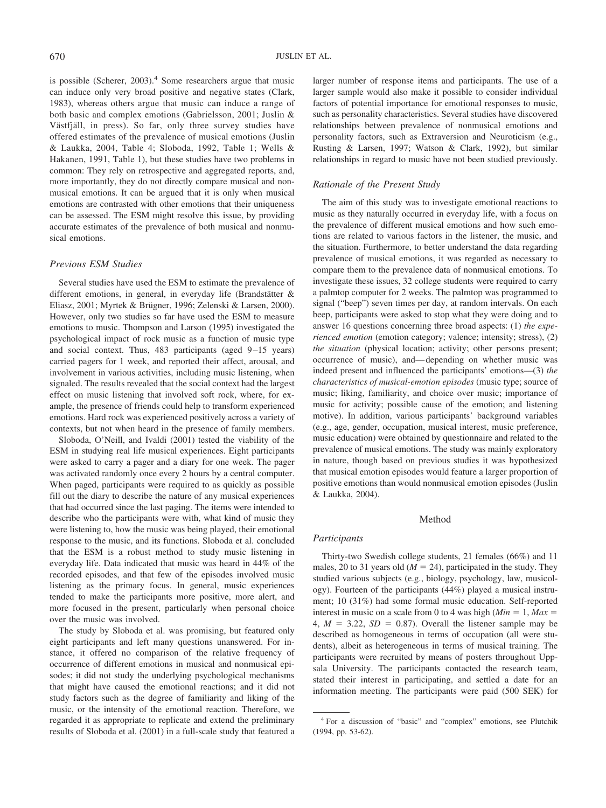is possible (Scherer,  $2003$ ).<sup>4</sup> Some researchers argue that music can induce only very broad positive and negative states (Clark, 1983), whereas others argue that music can induce a range of both basic and complex emotions (Gabrielsson, 2001; Juslin & Västfjäll, in press). So far, only three survey studies have offered estimates of the prevalence of musical emotions (Juslin & Laukka, 2004, Table 4; Sloboda, 1992, Table 1; Wells & Hakanen, 1991, Table 1), but these studies have two problems in common: They rely on retrospective and aggregated reports, and, more importantly, they do not directly compare musical and nonmusical emotions. It can be argued that it is only when musical emotions are contrasted with other emotions that their uniqueness can be assessed. The ESM might resolve this issue, by providing accurate estimates of the prevalence of both musical and nonmusical emotions.

## *Previous ESM Studies*

Several studies have used the ESM to estimate the prevalence of different emotions, in general, in everyday life (Brandstätter  $\&$ Eliasz, 2001; Myrtek & Brügner, 1996; Zelenski & Larsen, 2000). However, only two studies so far have used the ESM to measure emotions to music. Thompson and Larson (1995) investigated the psychological impact of rock music as a function of music type and social context. Thus, 483 participants (aged 9 –15 years) carried pagers for 1 week, and reported their affect, arousal, and involvement in various activities, including music listening, when signaled. The results revealed that the social context had the largest effect on music listening that involved soft rock, where, for example, the presence of friends could help to transform experienced emotions. Hard rock was experienced positively across a variety of contexts, but not when heard in the presence of family members.

Sloboda, O'Neill, and Ivaldi (2001) tested the viability of the ESM in studying real life musical experiences. Eight participants were asked to carry a pager and a diary for one week. The pager was activated randomly once every 2 hours by a central computer. When paged, participants were required to as quickly as possible fill out the diary to describe the nature of any musical experiences that had occurred since the last paging. The items were intended to describe who the participants were with, what kind of music they were listening to, how the music was being played, their emotional response to the music, and its functions. Sloboda et al. concluded that the ESM is a robust method to study music listening in everyday life. Data indicated that music was heard in 44% of the recorded episodes, and that few of the episodes involved music listening as the primary focus. In general, music experiences tended to make the participants more positive, more alert, and more focused in the present, particularly when personal choice over the music was involved.

The study by Sloboda et al. was promising, but featured only eight participants and left many questions unanswered. For instance, it offered no comparison of the relative frequency of occurrence of different emotions in musical and nonmusical episodes; it did not study the underlying psychological mechanisms that might have caused the emotional reactions; and it did not study factors such as the degree of familiarity and liking of the music, or the intensity of the emotional reaction. Therefore, we regarded it as appropriate to replicate and extend the preliminary results of Sloboda et al. (2001) in a full-scale study that featured a

larger number of response items and participants. The use of a larger sample would also make it possible to consider individual factors of potential importance for emotional responses to music, such as personality characteristics. Several studies have discovered relationships between prevalence of nonmusical emotions and personality factors, such as Extraversion and Neuroticism (e.g., Rusting & Larsen, 1997; Watson & Clark, 1992), but similar relationships in regard to music have not been studied previously.

## *Rationale of the Present Study*

The aim of this study was to investigate emotional reactions to music as they naturally occurred in everyday life, with a focus on the prevalence of different musical emotions and how such emotions are related to various factors in the listener, the music, and the situation. Furthermore, to better understand the data regarding prevalence of musical emotions, it was regarded as necessary to compare them to the prevalence data of nonmusical emotions. To investigate these issues, 32 college students were required to carry a palmtop computer for 2 weeks. The palmtop was programmed to signal ("beep") seven times per day, at random intervals. On each beep, participants were asked to stop what they were doing and to answer 16 questions concerning three broad aspects: (1) *the experienced emotion* (emotion category; valence; intensity; stress), (2) *the situation* (physical location; activity; other persons present; occurrence of music), and— depending on whether music was indeed present and influenced the participants' emotions—(3) *the characteristics of musical-emotion episodes* (music type; source of music; liking, familiarity, and choice over music; importance of music for activity; possible cause of the emotion; and listening motive). In addition, various participants' background variables (e.g., age, gender, occupation, musical interest, music preference, music education) were obtained by questionnaire and related to the prevalence of musical emotions. The study was mainly exploratory in nature, though based on previous studies it was hypothesized that musical emotion episodes would feature a larger proportion of positive emotions than would nonmusical emotion episodes (Juslin & Laukka, 2004).

## Method

## *Participants*

Thirty-two Swedish college students, 21 females (66%) and 11 males, 20 to 31 years old  $(M = 24)$ , participated in the study. They studied various subjects (e.g., biology, psychology, law, musicology). Fourteen of the participants (44%) played a musical instrument; 10 (31%) had some formal music education. Self-reported interest in music on a scale from 0 to 4 was high  $(Min = 1, Max =$ 4,  $M = 3.22$ ,  $SD = 0.87$ ). Overall the listener sample may be described as homogeneous in terms of occupation (all were students), albeit as heterogeneous in terms of musical training. The participants were recruited by means of posters throughout Uppsala University. The participants contacted the research team, stated their interest in participating, and settled a date for an information meeting. The participants were paid (500 SEK) for

<sup>4</sup> For a discussion of "basic" and "complex" emotions, see Plutchik (1994, pp. 53-62).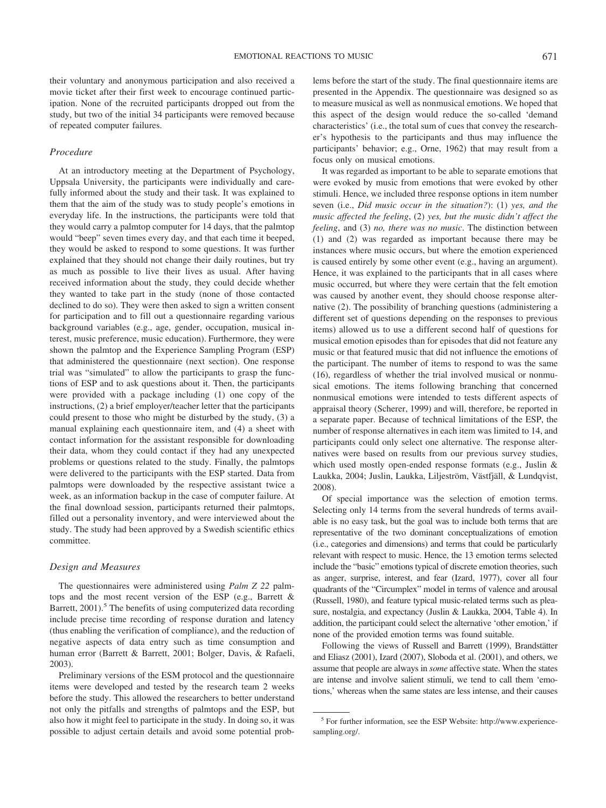their voluntary and anonymous participation and also received a movie ticket after their first week to encourage continued participation. None of the recruited participants dropped out from the study, but two of the initial 34 participants were removed because of repeated computer failures.

## *Procedure*

At an introductory meeting at the Department of Psychology, Uppsala University, the participants were individually and carefully informed about the study and their task. It was explained to them that the aim of the study was to study people's emotions in everyday life. In the instructions, the participants were told that they would carry a palmtop computer for 14 days, that the palmtop would "beep" seven times every day, and that each time it beeped, they would be asked to respond to some questions. It was further explained that they should not change their daily routines, but try as much as possible to live their lives as usual. After having received information about the study, they could decide whether they wanted to take part in the study (none of those contacted declined to do so). They were then asked to sign a written consent for participation and to fill out a questionnaire regarding various background variables (e.g., age, gender, occupation, musical interest, music preference, music education). Furthermore, they were shown the palmtop and the Experience Sampling Program (ESP) that administered the questionnaire (next section). One response trial was "simulated" to allow the participants to grasp the functions of ESP and to ask questions about it. Then, the participants were provided with a package including (1) one copy of the instructions, (2) a brief employer/teacher letter that the participants could present to those who might be disturbed by the study, (3) a manual explaining each questionnaire item, and (4) a sheet with contact information for the assistant responsible for downloading their data, whom they could contact if they had any unexpected problems or questions related to the study. Finally, the palmtops were delivered to the participants with the ESP started. Data from palmtops were downloaded by the respective assistant twice a week, as an information backup in the case of computer failure. At the final download session, participants returned their palmtops, filled out a personality inventory, and were interviewed about the study. The study had been approved by a Swedish scientific ethics committee.

## *Design and Measures*

The questionnaires were administered using *Palm Z 22* palmtops and the most recent version of the ESP (e.g., Barrett & Barrett,  $2001$ <sup>5</sup>. The benefits of using computerized data recording include precise time recording of response duration and latency (thus enabling the verification of compliance), and the reduction of negative aspects of data entry such as time consumption and human error (Barrett & Barrett, 2001; Bolger, Davis, & Rafaeli, 2003).

Preliminary versions of the ESM protocol and the questionnaire items were developed and tested by the research team 2 weeks before the study. This allowed the researchers to better understand not only the pitfalls and strengths of palmtops and the ESP, but also how it might feel to participate in the study. In doing so, it was possible to adjust certain details and avoid some potential problems before the start of the study. The final questionnaire items are presented in the Appendix. The questionnaire was designed so as to measure musical as well as nonmusical emotions. We hoped that this aspect of the design would reduce the so-called 'demand characteristics' (i.e., the total sum of cues that convey the researcher's hypothesis to the participants and thus may influence the participants' behavior; e.g., Orne, 1962) that may result from a focus only on musical emotions.

It was regarded as important to be able to separate emotions that were evoked by music from emotions that were evoked by other stimuli. Hence, we included three response options in item number seven (i.e., *Did music occur in the situation?*): (1) *yes, and the music affected the feeling*, (2) *yes, but the music didn't affect the feeling*, and (3) *no, there was no music*. The distinction between (1) and (2) was regarded as important because there may be instances where music occurs, but where the emotion experienced is caused entirely by some other event (e.g., having an argument). Hence, it was explained to the participants that in all cases where music occurred, but where they were certain that the felt emotion was caused by another event, they should choose response alternative (2). The possibility of branching questions (administering a different set of questions depending on the responses to previous items) allowed us to use a different second half of questions for musical emotion episodes than for episodes that did not feature any music or that featured music that did not influence the emotions of the participant. The number of items to respond to was the same (16), regardless of whether the trial involved musical or nonmusical emotions. The items following branching that concerned nonmusical emotions were intended to tests different aspects of appraisal theory (Scherer, 1999) and will, therefore, be reported in a separate paper. Because of technical limitations of the ESP, the number of response alternatives in each item was limited to 14, and participants could only select one alternative. The response alternatives were based on results from our previous survey studies, which used mostly open-ended response formats (e.g., Juslin & Laukka, 2004; Juslin, Laukka, Liljeström, Västfjäll, & Lundqvist, 2008).

Of special importance was the selection of emotion terms. Selecting only 14 terms from the several hundreds of terms available is no easy task, but the goal was to include both terms that are representative of the two dominant conceptualizations of emotion (i.e., categories and dimensions) and terms that could be particularly relevant with respect to music. Hence, the 13 emotion terms selected include the "basic" emotions typical of discrete emotion theories, such as anger, surprise, interest, and fear (Izard, 1977), cover all four quadrants of the "Circumplex" model in terms of valence and arousal (Russell, 1980), and feature typical music-related terms such as pleasure, nostalgia, and expectancy (Juslin & Laukka, 2004, Table 4). In addition, the participant could select the alternative 'other emotion,' if none of the provided emotion terms was found suitable.

Following the views of Russell and Barrett (1999), Brandstätter and Eliasz (2001), Izard (2007), Sloboda et al. (2001), and others, we assume that people are always in *some* affective state. When the states are intense and involve salient stimuli, we tend to call them 'emotions,' whereas when the same states are less intense, and their causes

<sup>5</sup> For further information, see the ESP Website: http://www.experiencesampling.org/.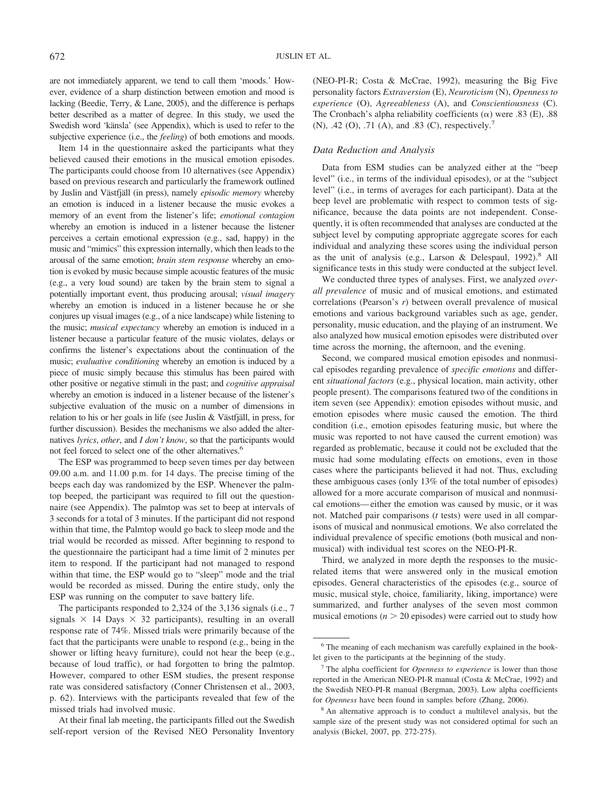are not immediately apparent, we tend to call them 'moods.' However, evidence of a sharp distinction between emotion and mood is lacking (Beedie, Terry, & Lane, 2005), and the difference is perhaps better described as a matter of degree. In this study, we used the Swedish word 'känsla' (see Appendix), which is used to refer to the subjective experience (i.e., the *feeling*) of both emotions and moods.

Item 14 in the questionnaire asked the participants what they believed caused their emotions in the musical emotion episodes. The participants could choose from 10 alternatives (see Appendix) based on previous research and particularly the framework outlined by Juslin and Västfjäll (in press), namely *episodic memory* whereby an emotion is induced in a listener because the music evokes a memory of an event from the listener's life; *emotional contagion* whereby an emotion is induced in a listener because the listener perceives a certain emotional expression (e.g., sad, happy) in the music and "mimics" this expression internally, which then leads to the arousal of the same emotion; *brain stem response* whereby an emotion is evoked by music because simple acoustic features of the music (e.g., a very loud sound) are taken by the brain stem to signal a potentially important event, thus producing arousal; *visual imagery* whereby an emotion is induced in a listener because he or she conjures up visual images (e.g., of a nice landscape) while listening to the music; *musical expectancy* whereby an emotion is induced in a listener because a particular feature of the music violates, delays or confirms the listener's expectations about the continuation of the music; *evaluative conditioning* whereby an emotion is induced by a piece of music simply because this stimulus has been paired with other positive or negative stimuli in the past; and *cognitive appraisal* whereby an emotion is induced in a listener because of the listener's subjective evaluation of the music on a number of dimensions in relation to his or her goals in life (see Juslin  $& V$ ästfjäll, in press, for further discussion). Besides the mechanisms we also added the alternatives *lyrics*, *other*, and *I don't know*, so that the participants would not feel forced to select one of the other alternatives.<sup>6</sup>

The ESP was programmed to beep seven times per day between 09.00 a.m. and 11.00 p.m. for 14 days. The precise timing of the beeps each day was randomized by the ESP. Whenever the palmtop beeped, the participant was required to fill out the questionnaire (see Appendix). The palmtop was set to beep at intervals of 3 seconds for a total of 3 minutes. If the participant did not respond within that time, the Palmtop would go back to sleep mode and the trial would be recorded as missed. After beginning to respond to the questionnaire the participant had a time limit of 2 minutes per item to respond. If the participant had not managed to respond within that time, the ESP would go to "sleep" mode and the trial would be recorded as missed. During the entire study, only the ESP was running on the computer to save battery life.

The participants responded to 2,324 of the 3,136 signals (i.e., 7 signals  $\times$  14 Days  $\times$  32 participants), resulting in an overall response rate of 74%. Missed trials were primarily because of the fact that the participants were unable to respond (e.g., being in the shower or lifting heavy furniture), could not hear the beep (e.g., because of loud traffic), or had forgotten to bring the palmtop. However, compared to other ESM studies, the present response rate was considered satisfactory (Conner Christensen et al., 2003, p. 62). Interviews with the participants revealed that few of the missed trials had involved music.

At their final lab meeting, the participants filled out the Swedish self-report version of the Revised NEO Personality Inventory

(NEO-PI-R; Costa & McCrae, 1992), measuring the Big Five personality factors *Extraversion* (E), *Neuroticism* (N), *Openness to experience* (O), *Agreeableness* (A), and *Conscientiousness* (C). The Cronbach's alpha reliability coefficients  $(\alpha)$  were .83 (E), .88 (N), .42 (O), .71 (A), and .83 (C), respectively.7

## *Data Reduction and Analysis*

Data from ESM studies can be analyzed either at the "beep level" (i.e., in terms of the individual episodes), or at the "subject level" (i.e., in terms of averages for each participant). Data at the beep level are problematic with respect to common tests of significance, because the data points are not independent. Consequently, it is often recommended that analyses are conducted at the subject level by computing appropriate aggregate scores for each individual and analyzing these scores using the individual person as the unit of analysis (e.g., Larson & Delespaul,  $1992$ ).<sup>8</sup> All significance tests in this study were conducted at the subject level.

We conducted three types of analyses. First, we analyzed *overall prevalence* of music and of musical emotions, and estimated correlations (Pearson's *r*) between overall prevalence of musical emotions and various background variables such as age, gender, personality, music education, and the playing of an instrument. We also analyzed how musical emotion episodes were distributed over time across the morning, the afternoon, and the evening.

Second, we compared musical emotion episodes and nonmusical episodes regarding prevalence of *specific emotions* and different *situational factors* (e.g., physical location, main activity, other people present). The comparisons featured two of the conditions in item seven (see Appendix): emotion episodes without music, and emotion episodes where music caused the emotion. The third condition (i.e., emotion episodes featuring music, but where the music was reported to not have caused the current emotion) was regarded as problematic, because it could not be excluded that the music had some modulating effects on emotions, even in those cases where the participants believed it had not. Thus, excluding these ambiguous cases (only 13% of the total number of episodes) allowed for a more accurate comparison of musical and nonmusical emotions— either the emotion was caused by music, or it was not. Matched pair comparisons (*t* tests) were used in all comparisons of musical and nonmusical emotions. We also correlated the individual prevalence of specific emotions (both musical and nonmusical) with individual test scores on the NEO-PI-R.

Third, we analyzed in more depth the responses to the musicrelated items that were answered only in the musical emotion episodes. General characteristics of the episodes (e.g., source of music, musical style, choice, familiarity, liking, importance) were summarized, and further analyses of the seven most common musical emotions ( $n > 20$  episodes) were carried out to study how

<sup>&</sup>lt;sup>6</sup> The meaning of each mechanism was carefully explained in the booklet given to the participants at the beginning of the study.

<sup>7</sup> The alpha coefficient for *Openness to experience* is lower than those reported in the American NEO-PI-R manual (Costa & McCrae, 1992) and the Swedish NEO-PI-R manual (Bergman, 2003). Low alpha coefficients for *Openness* have been found in samples before (Zhang, 2006).

<sup>8</sup> An alternative approach is to conduct a multilevel analysis, but the sample size of the present study was not considered optimal for such an analysis (Bickel, 2007, pp. 272-275).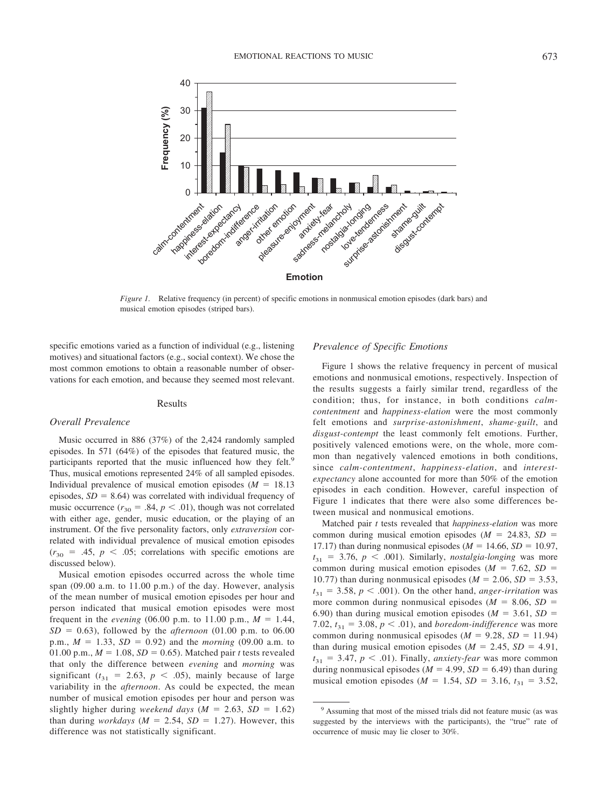

*Figure 1.* Relative frequency (in percent) of specific emotions in nonmusical emotion episodes (dark bars) and musical emotion episodes (striped bars).

specific emotions varied as a function of individual (e.g., listening motives) and situational factors (e.g., social context). We chose the most common emotions to obtain a reasonable number of observations for each emotion, and because they seemed most relevant.

## Results

## *Overall Prevalence*

Music occurred in 886 (37%) of the 2,424 randomly sampled episodes. In 571 (64%) of the episodes that featured music, the participants reported that the music influenced how they felt.<sup>9</sup> Thus, musical emotions represented 24% of all sampled episodes. Individual prevalence of musical emotion episodes  $(M = 18.13)$ episodes,  $SD = 8.64$ ) was correlated with individual frequency of music occurrence  $(r_{30} = .84, p < .01)$ , though was not correlated with either age, gender, music education, or the playing of an instrument. Of the five personality factors, only *extraversion* correlated with individual prevalence of musical emotion episodes  $(r_{30} = .45, p < .05;$  correlations with specific emotions are discussed below).

Musical emotion episodes occurred across the whole time span (09.00 a.m. to 11.00 p.m.) of the day. However, analysis of the mean number of musical emotion episodes per hour and person indicated that musical emotion episodes were most frequent in the *evening* (06.00 p.m. to 11.00 p.m.,  $M = 1.44$ ,  $SD = 0.63$ ), followed by the *afternoon* (01.00 p.m. to 06.00 p.m.,  $M = 1.33$ ,  $SD = 0.92$ ) and the *morning* (09.00 a.m. to 01.00 p.m.,  $M = 1.08$ ,  $SD = 0.65$ ). Matched pair *t* tests revealed that only the difference between *evening* and *morning* was significant ( $t_{31}$  = 2.63,  $p \lt .05$ ), mainly because of large variability in the *afternoon*. As could be expected, the mean number of musical emotion episodes per hour and person was slightly higher during *weekend days* ( $M = 2.63$ ,  $SD = 1.62$ ) than during *workdays* ( $M = 2.54$ ,  $SD = 1.27$ ). However, this difference was not statistically significant.

#### *Prevalence of Specific Emotions*

Figure 1 shows the relative frequency in percent of musical emotions and nonmusical emotions, respectively. Inspection of the results suggests a fairly similar trend, regardless of the condition; thus, for instance, in both conditions *calmcontentment* and *happiness-elation* were the most commonly felt emotions and *surprise-astonishment*, *shame-guilt*, and *disgust-contempt* the least commonly felt emotions. Further, positively valenced emotions were, on the whole, more common than negatively valenced emotions in both conditions, since *calm-contentment*, *happiness-elation*, and *interestexpectancy* alone accounted for more than 50% of the emotion episodes in each condition. However, careful inspection of Figure 1 indicates that there were also some differences between musical and nonmusical emotions.

Matched pair *t* tests revealed that *happiness-elation* was more common during musical emotion episodes ( $M = 24.83$ ,  $SD =$ 17.17) than during nonmusical episodes ( $M = 14.66$ ,  $SD = 10.97$ ,  $t_{31}$  = 3.76,  $p < .001$ ). Similarly, *nostalgia-longing* was more common during musical emotion episodes ( $M = 7.62$ ,  $SD =$ 10.77) than during nonmusical episodes ( $M = 2.06$ ,  $SD = 3.53$ ,  $t_{31} = 3.58$ ,  $p < .001$ ). On the other hand, *anger-irritation* was more common during nonmusical episodes ( $M = 8.06$ ,  $SD =$ 6.90) than during musical emotion episodes ( $M = 3.61$ ,  $SD =$ 7.02,  $t_{31} = 3.08$ ,  $p < .01$ ), and *boredom-indifference* was more common during nonmusical episodes ( $M = 9.28$ ,  $SD = 11.94$ ) than during musical emotion episodes ( $M = 2.45$ ,  $SD = 4.91$ ,  $t_{31} = 3.47, p \leq .01$ ). Finally, *anxiety-fear* was more common during nonmusical episodes ( $M = 4.99$ ,  $SD = 6.49$ ) than during musical emotion episodes ( $M = 1.54$ ,  $SD = 3.16$ ,  $t_{31} = 3.52$ ,

<sup>9</sup> Assuming that most of the missed trials did not feature music (as was suggested by the interviews with the participants), the "true" rate of occurrence of music may lie closer to 30%.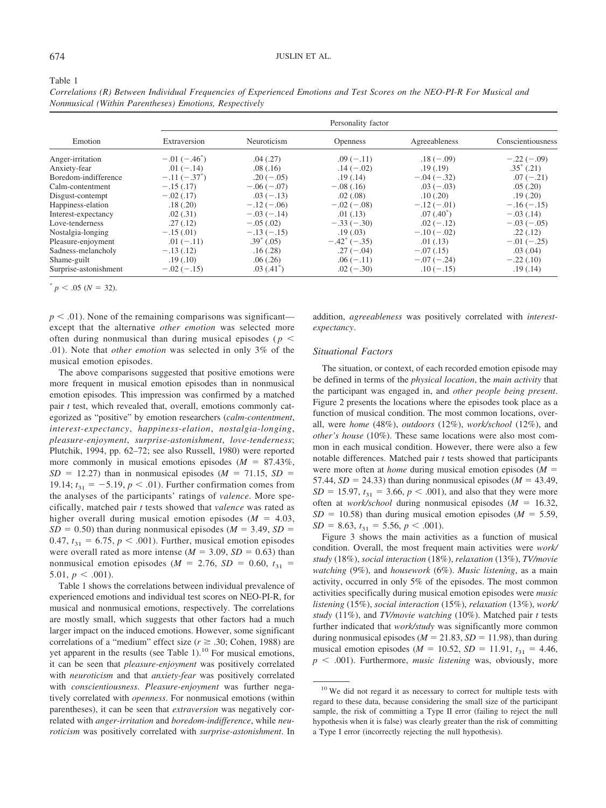#### Table 1

*Correlations (R) Between Individual Frequencies of Experienced Emotions and Test Scores on the NEO-PI-R For Musical and Nonmusical (Within Parentheses) Emotions, Respectively*

| Emotion               | Personality factor   |                      |                        |                      |                    |  |  |
|-----------------------|----------------------|----------------------|------------------------|----------------------|--------------------|--|--|
|                       | Extraversion         | Neuroticism          | <b>Openness</b>        | Agreeableness        | Conscientiousness  |  |  |
| Anger-irritation      | $-.01(-.46^{\circ})$ | .04(.27)             | $.09(-.11)$            | $.18(-.09)$          | $-.22(-.09)$       |  |  |
| Anxiety-fear          | $.01(-.14)$          | .08(.16)             | $.14(-.02)$            | .19(0.19)            | $.35^{\ast}$ (.21) |  |  |
| Boredom-indifference  | $-.11(-.37^*)$       | $.20(-.05)$          | .19(0.14)              | $-.04(-.32)$         | $.07(-.21)$        |  |  |
| Calm-contentment      | $-.15(.17)$          | $-.06(-.07)$         | $-.08(.16)$            | $.03(-.03)$          | .05(.20)           |  |  |
| Disgust-contempt      | $-.02(.17)$          | $.03(-.13)$          | .02(0.08)              | .10(0.20)            | .19(0.20)          |  |  |
| Happiness-elation     | .18(.20)             | $-.12(-.06)$         | $-.02(-.08)$           | $-.12(-.01)$         | $-.16(-.15)$       |  |  |
| Interest-expectancy   | .02(0.31)            | $-.03(-.14)$         | .01(0.13)              | $.07(.40^{\degree})$ | $-.03(.14)$        |  |  |
| Love-tenderness       | .27(.12)             | $-.05(.02)$          | $-.33(-.30)$           | $.02(-.12)$          | $-.03(-.05)$       |  |  |
| Nostalgia-longing     | $-.15(.01)$          | $-.13(-.15)$         | .19(0.03)              | $-.10(-.02)$         | .22(.12)           |  |  |
| Pleasure-enjoyment    | $.01(-.11)$          | $.39^{\circ}$ (.05)  | $-.42^{\degree}(-.35)$ | .01(0.13)            | $-.01(-.25)$       |  |  |
| Sadness-melancholy    | $-.13(.12)$          | .16(.28)             | $.27(-.04)$            | $-.07(.15)$          | .03(0.04)          |  |  |
| Shame-guilt           | .19(0.10)            | .06(.26)             | $.06(-.11)$            | $-.07(-.24)$         | $-.22(.10)$        |  |  |
| Surprise-astonishment | $-.02(-.15)$         | $.03(.41^{\degree})$ | $.02(-.30)$            | $.10(-.15)$          | .19(0.14)          |  |  |

 $p^*$  *p*  $\lt$  .05 (*N* = 32).

 $p < .01$ ). None of the remaining comparisons was significant except that the alternative *other emotion* was selected more often during nonmusical than during musical episodes ( $p <$ .01). Note that *other emotion* was selected in only 3% of the musical emotion episodes.

The above comparisons suggested that positive emotions were more frequent in musical emotion episodes than in nonmusical emotion episodes. This impression was confirmed by a matched pair *t* test, which revealed that, overall, emotions commonly categorized as "positive" by emotion researchers (*calm-contentment*, *interest-expectancy*, *happiness-elation*, *nostalgia*-*longing*, *pleasure-enjoyment*, *surprise-astonishment*, *love-tenderness*; Plutchik, 1994, pp. 62–72; see also Russell, 1980) were reported more commonly in musical emotions episodes  $(M = 87.43\%$ ,  $SD = 12.27$ ) than in nonmusical episodes ( $M = 71.15$ ,  $SD =$ 19.14;  $t_{31} = -5.19, p < .01$ ). Further confirmation comes from the analyses of the participants' ratings of *valence*. More specifically, matched pair *t* tests showed that *valence* was rated as higher overall during musical emotion episodes  $(M = 4.03,$  $SD = 0.50$ ) than during nonmusical episodes ( $M = 3.49$ ,  $SD =$ 0.47,  $t_{31} = 6.75$ ,  $p < .001$ ). Further, musical emotion episodes were overall rated as more intense ( $M = 3.09$ ,  $SD = 0.63$ ) than nonmusical emotion episodes ( $M = 2.76$ ,  $SD = 0.60$ ,  $t_{31} =$ 5.01,  $p < .001$ ).

Table 1 shows the correlations between individual prevalence of experienced emotions and individual test scores on NEO-PI-R, for musical and nonmusical emotions, respectively. The correlations are mostly small, which suggests that other factors had a much larger impact on the induced emotions. However, some significant correlations of a "medium" effect size ( $r \geq .30$ ; Cohen, 1988) are yet apparent in the results (see Table 1).<sup>10</sup> For musical emotions, it can be seen that *pleasure-enjoyment* was positively correlated with *neuroticism* and that *anxiety-fear* was positively correlated with *conscientiousness*. *Pleasure-enjoyment* was further negatively correlated with *openness*. For nonmusical emotions (within parentheses), it can be seen that *extraversion* was negatively correlated with *anger-irritation* and *boredom-indifference*, while *neuroticism* was positively correlated with *surprise-astonishment*. In addition, *agreeableness* was positively correlated with *interestexpectancy*.

#### *Situational Factors*

The situation, or context, of each recorded emotion episode may be defined in terms of the *physical location*, the *main activity* that the participant was engaged in, and *other people being present*. Figure 2 presents the locations where the episodes took place as a function of musical condition. The most common locations, overall, were *home* (48%), *outdoors* (12%), *work/school* (12%), and *other's house* (10%). These same locations were also most common in each musical condition. However, there were also a few notable differences. Matched pair *t* tests showed that participants were more often at *home* during musical emotion episodes (*M* 57.44,  $SD = 24.33$ ) than during nonmusical episodes ( $M = 43.49$ ,  $SD = 15.97$ ,  $t_{31} = 3.66$ ,  $p < .001$ ), and also that they were more often at *work/school* during nonmusical episodes  $(M = 16.32)$ ,  $SD = 10.58$ ) than during musical emotion episodes ( $M = 5.59$ ,  $SD = 8.63$ ,  $t_{31} = 5.56$ ,  $p < .001$ ).

Figure 3 shows the main activities as a function of musical condition. Overall, the most frequent main activities were *work/ study* (18%), *social interaction* (18%), *relaxation* (13%), *TV/movie watching* (9%), and *housework* (6%). *Music listening*, as a main activity, occurred in only 5% of the episodes. The most common activities specifically during musical emotion episodes were *music listening* (15%), *social interaction* (15%), *relaxation* (13%), *work/ study* (11%), and *TV/movie watching* (10%). Matched pair *t* tests further indicated that *work/study* was significantly more common during nonmusical episodes ( $M = 21.83$ ,  $SD = 11.98$ ), than during musical emotion episodes ( $M = 10.52$ ,  $SD = 11.91$ ,  $t_{31} = 4.46$ ,  $p < .001$ ). Furthermore, *music listening* was, obviously, more

<sup>&</sup>lt;sup>10</sup> We did not regard it as necessary to correct for multiple tests with regard to these data, because considering the small size of the participant sample, the risk of committing a Type II error (failing to reject the null hypothesis when it is false) was clearly greater than the risk of committing a Type I error (incorrectly rejecting the null hypothesis).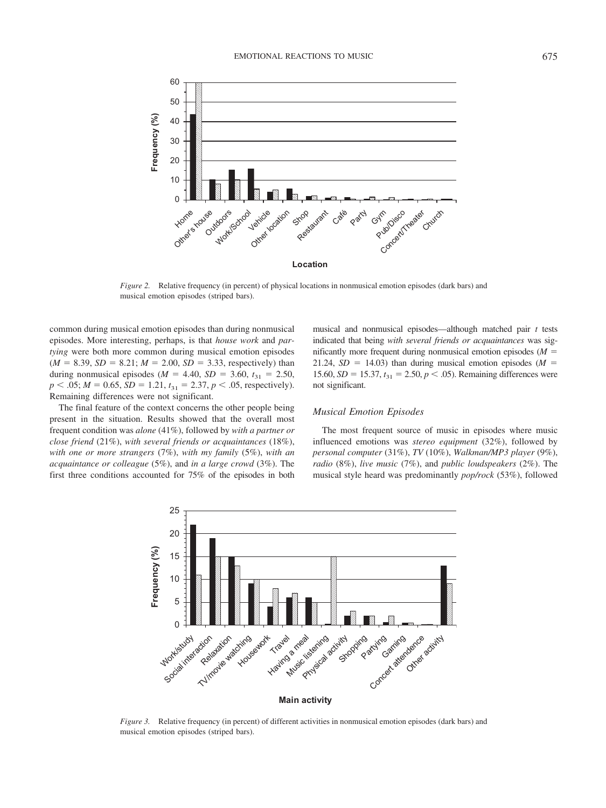

*Figure 2.* Relative frequency (in percent) of physical locations in nonmusical emotion episodes (dark bars) and musical emotion episodes (striped bars).

common during musical emotion episodes than during nonmusical episodes. More interesting, perhaps, is that *house work* and *partying* were both more common during musical emotion episodes  $(M = 8.39, SD = 8.21; M = 2.00, SD = 3.33$ , respectively) than during nonmusical episodes ( $M = 4.40$ ,  $SD = 3.60$ ,  $t_{31} = 2.50$ ,  $p < .05; M = 0.65, SD = 1.21, t_{31} = 2.37, p < .05$ , respectively). Remaining differences were not significant.

The final feature of the context concerns the other people being present in the situation. Results showed that the overall most frequent condition was *alone* (41%), followed by *with a partner or close friend* (21%), *with several friends or acquaintances* (18%), *with one or more strangers* (7%), *with my family* (5%), *with an acquaintance or colleague* (5%), and *in a large crowd* (3%). The first three conditions accounted for 75% of the episodes in both musical and nonmusical episodes—although matched pair *t* tests indicated that being *with several friends or acquaintances* was significantly more frequent during nonmusical emotion episodes (*M* 21.24,  $SD = 14.03$ ) than during musical emotion episodes ( $M =$ 15.60, *SD* = 15.37,  $t_{31}$  = 2.50,  $p < .05$ ). Remaining differences were not significant.

#### *Musical Emotion Episodes*

The most frequent source of music in episodes where music influenced emotions was *stereo equipment* (32%), followed by *personal computer* (31%), *TV* (10%), *Walkman/MP3 player* (9%), *radio* (8%), *live music* (7%), and *public loudspeakers* (2%). The musical style heard was predominantly *pop/rock* (53%), followed



*Figure 3.* Relative frequency (in percent) of different activities in nonmusical emotion episodes (dark bars) and musical emotion episodes (striped bars).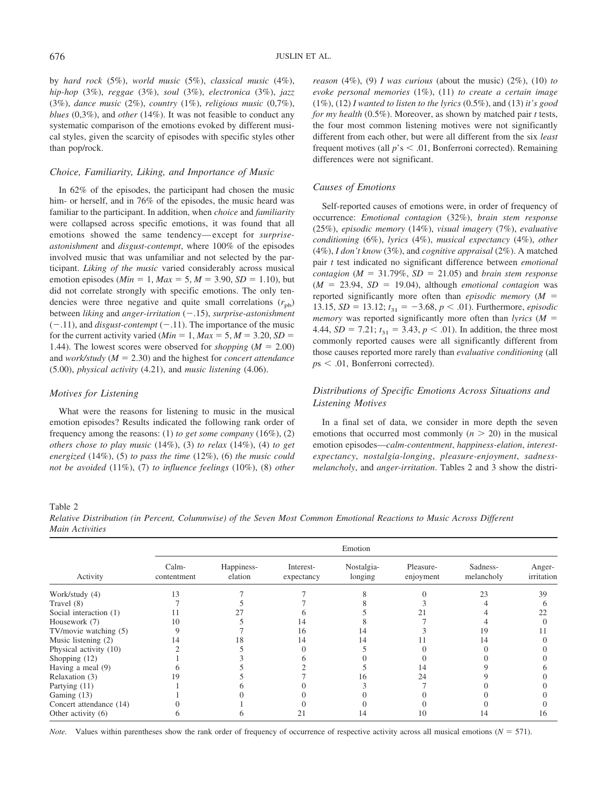by *hard rock* (5%), *world music* (5%), *classical music* (4%), *hip-hop* (3%), *reggae* (3%), *soul* (3%), *electronica* (3%), *jazz* (3%), *dance music* (2%), *country* (1%), *religious music* (0,7%), *blues* (0,3%), and *other* (14%). It was not feasible to conduct any systematic comparison of the emotions evoked by different musical styles, given the scarcity of episodes with specific styles other than pop/rock.

#### *Choice, Familiarity, Liking, and Importance of Music*

In 62% of the episodes, the participant had chosen the music him- or herself, and in 76% of the episodes, the music heard was familiar to the participant. In addition, when *choice* and *familiarity* were collapsed across specific emotions, it was found that all emotions showed the same tendency— except for *surpriseastonishment* and *disgust-contempt*, where 100% of the episodes involved music that was unfamiliar and not selected by the participant. *Liking of the music* varied considerably across musical emotion episodes (*Min* = 1, *Max* = 5, *M* = 3.90, *SD* = 1.10), but did not correlate strongly with specific emotions. The only tendencies were three negative and quite small correlations  $(r_{\text{pb}})$ between *liking* and *anger-irritation* (-.15), *surprise-astonishment*  $(-.11)$ , and *disgust-contempt*  $(-.11)$ . The importance of the music for the current activity varied ( $Min = 1$ ,  $Max = 5$ ,  $M = 3.20$ ,  $SD =$ 1.44). The lowest scores were observed for *shopping*  $(M = 2.00)$ and *work/study* ( $M = 2.30$ ) and the highest for *concert attendance* (5.00), *physical activity* (4.21), and *music listening* (4.06).

## *Motives for Listening*

What were the reasons for listening to music in the musical emotion episodes? Results indicated the following rank order of frequency among the reasons: (1) *to get some company* (16%), (2) *others chose to play music* (14%), (3) *to relax* (14%), (4) *to get energized* (14%), (5) *to pass the time* (12%), (6) *the music could not be avoided* (11%), (7) *to influence feelings* (10%), (8) *other*

*reason* (4%), (9) *I was curious* (about the music) (2%), (10) *to evoke personal memories* (1%), (11) *to create a certain image* (1%), (12) *I wanted to listen to the lyrics* (0.5%), and (13) *it's good for my health* (0.5%). Moreover, as shown by matched pair *t* tests, the four most common listening motives were not significantly different from each other, but were all different from the six *least* frequent motives (all  $p$ 's  $\leq$  .01, Bonferroni corrected). Remaining differences were not significant.

#### *Causes of Emotions*

Self-reported causes of emotions were, in order of frequency of occurrence: *Emotional contagion* (32%), *brain stem response* (25%), *episodic memory* (14%), *visual imagery* (7%), *evaluative conditioning* (6%), *lyrics* (4%), *musical expectancy* (4%), *other* (4%), *I don't know* (3%), and *cognitive appraisal* (2%). A matched pair *t* test indicated no significant difference between *emotional contagion* ( $M = 31.79\%$ ,  $SD = 21.05$ ) and *brain stem response*  $(M = 23.94, SD = 19.04)$ , although *emotional contagion* was reported significantly more often than *episodic memory* (*M* 13.15,  $SD = 13.12$ ;  $t_{31} = -3.68$ ,  $p < .01$ ). Furthermore, *episodic memory* was reported significantly more often than *lyrics* (*M* 4.44,  $SD = 7.21$ ;  $t_{31} = 3.43$ ,  $p < .01$ ). In addition, the three most commonly reported causes were all significantly different from those causes reported more rarely than *evaluative conditioning* (all  $p_s < .01$ , Bonferroni corrected).

# *Distributions of Specific Emotions Across Situations and Listening Motives*

In a final set of data, we consider in more depth the seven emotions that occurred most commonly  $(n > 20)$  in the musical emotion episodes—*calm-contentment*, *happiness-elation*, *interestexpectancy*, *nostalgia-longing*, *pleasure-enjoyment*, *sadnessmelancholy*, and *anger-irritation*. Tables 2 and 3 show the distri-

Table 2

*Relative Distribution (in Percent, Columnwise) of the Seven Most Common Emotional Reactions to Music Across Different Main Activities*

| Activity                | Emotion              |                       |                         |                       |                        |                        |                      |  |
|-------------------------|----------------------|-----------------------|-------------------------|-----------------------|------------------------|------------------------|----------------------|--|
|                         | Calm-<br>contentment | Happiness-<br>elation | Interest-<br>expectancy | Nostalgia-<br>longing | Pleasure-<br>enjoyment | Sadness-<br>melancholy | Anger-<br>irritation |  |
| Work/study (4)          | 13                   |                       |                         |                       |                        | 23                     | 39                   |  |
| Travel (8)              |                      |                       |                         |                       |                        |                        |                      |  |
| Social interaction (1)  |                      |                       |                         |                       |                        |                        | 22                   |  |
| Housework (7)           | 10                   |                       |                         |                       |                        |                        |                      |  |
| TV/movie watching (5)   |                      |                       | 16                      | 14                    |                        | 19                     |                      |  |
| Music listening (2)     | 14                   |                       | 14                      | 14                    |                        | $\overline{4}$         |                      |  |
| Physical activity (10)  |                      |                       |                         |                       |                        |                        |                      |  |
| Shopping (12)           |                      |                       |                         |                       |                        |                        |                      |  |
| Having a meal (9)       |                      |                       |                         |                       |                        |                        |                      |  |
| Relaxation (3)          |                      |                       |                         | 16                    | 24                     |                        |                      |  |
| Partying (11)           |                      |                       |                         |                       |                        |                        |                      |  |
| Gaming (13)             |                      |                       |                         |                       |                        |                        |                      |  |
| Concert attendance (14) |                      |                       |                         |                       |                        |                        |                      |  |
| Other activity $(6)$    |                      |                       |                         | 14                    |                        | 14                     | 16                   |  |

*Note.* Values within parentheses show the rank order of frequency of occurrence of respective activity across all musical emotions ( $N = 571$ ).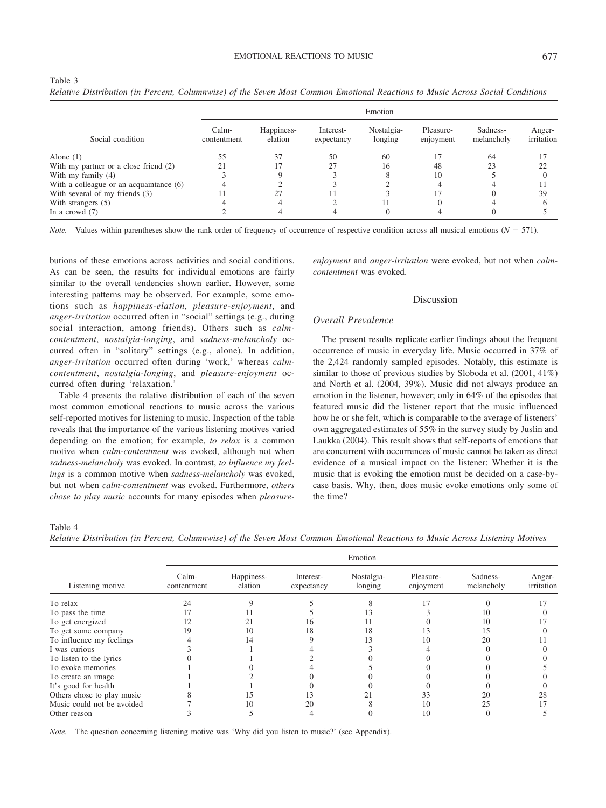|                                         | Emotion              |                       |                         |                       |                        |                        |                      |
|-----------------------------------------|----------------------|-----------------------|-------------------------|-----------------------|------------------------|------------------------|----------------------|
| Social condition                        | Calm-<br>contentment | Happiness-<br>elation | Interest-<br>expectancy | Nostalgia-<br>longing | Pleasure-<br>enjoyment | Sadness-<br>melancholy | Anger-<br>irritation |
| Alone $(1)$                             | 55                   | 37                    | 50                      | 60                    |                        | 64                     |                      |
| With my partner or a close friend (2)   |                      |                       | 27                      | 16                    | 48                     | 23                     | 22                   |
| With my family (4)                      |                      |                       |                         |                       | 10                     |                        |                      |
| With a colleague or an acquaintance (6) |                      |                       |                         |                       |                        |                        |                      |
| With several of my friends (3)          |                      |                       |                         |                       |                        |                        | 39                   |
| With strangers (5)                      |                      |                       |                         |                       |                        |                        |                      |
| In a crowd $(7)$                        |                      |                       |                         |                       |                        |                        |                      |

*Relative Distribution (in Percent, Columnwise) of the Seven Most Common Emotional Reactions to Music Across Social Conditions*

*Note.* Values within parentheses show the rank order of frequency of occurrence of respective condition across all musical emotions ( $N = 571$ ).

butions of these emotions across activities and social conditions. As can be seen, the results for individual emotions are fairly similar to the overall tendencies shown earlier. However, some interesting patterns may be observed. For example, some emotions such as *happiness-elation*, *pleasure-enjoyment*, and *anger-irritation* occurred often in "social" settings (e.g., during social interaction, among friends). Others such as *calmcontentment*, *nostalgia-longing*, and *sadness-melancholy* occurred often in "solitary" settings (e.g., alone). In addition, *anger-irritation* occurred often during 'work,' whereas *calmcontentment*, *nostalgia-longing*, and *pleasure-enjoyment* occurred often during 'relaxation.'

Table 4 presents the relative distribution of each of the seven most common emotional reactions to music across the various self-reported motives for listening to music. Inspection of the table reveals that the importance of the various listening motives varied depending on the emotion; for example, *to relax* is a common motive when *calm-contentment* was evoked, although not when *sadness-melancholy* was evoked. In contrast, *to influence my feelings* is a common motive when *sadness-melancholy* was evoked, but not when *calm-contentment* was evoked. Furthermore, *others chose to play music* accounts for many episodes when *pleasure-* *enjoyment* and *anger-irritation* were evoked, but not when *calmcontentment* was evoked.

## Discussion

## *Overall Prevalence*

The present results replicate earlier findings about the frequent occurrence of music in everyday life. Music occurred in 37% of the 2,424 randomly sampled episodes. Notably, this estimate is similar to those of previous studies by Sloboda et al. (2001, 41%) and North et al. (2004, 39%). Music did not always produce an emotion in the listener, however; only in 64% of the episodes that featured music did the listener report that the music influenced how he or she felt, which is comparable to the average of listeners' own aggregated estimates of 55% in the survey study by Juslin and Laukka (2004). This result shows that self-reports of emotions that are concurrent with occurrences of music cannot be taken as direct evidence of a musical impact on the listener: Whether it is the music that is evoking the emotion must be decided on a case-bycase basis. Why, then, does music evoke emotions only some of the time?

Table 4

Table 3

*Relative Distribution (in Percent, Columnwise) of the Seven Most Common Emotional Reactions to Music Across Listening Motives*

|                            | Emotion              |                       |                         |                       |                        |                        |                      |  |
|----------------------------|----------------------|-----------------------|-------------------------|-----------------------|------------------------|------------------------|----------------------|--|
| Listening motive           | Calm-<br>contentment | Happiness-<br>elation | Interest-<br>expectancy | Nostalgia-<br>longing | Pleasure-<br>enjoyment | Sadness-<br>melancholy | Anger-<br>irritation |  |
| To relax                   | 24                   |                       |                         |                       |                        |                        |                      |  |
| To pass the time           |                      |                       |                         |                       |                        | 10                     |                      |  |
| To get energized           | 12                   |                       | 16                      |                       |                        | 10                     |                      |  |
| To get some company        | 19                   | 10                    | 18                      | 18                    | 13                     | 15                     |                      |  |
| To influence my feelings   |                      | 14                    |                         | 13                    | 10                     | 20                     |                      |  |
| I was curious              |                      |                       |                         |                       |                        |                        |                      |  |
| To listen to the lyrics    |                      |                       |                         |                       |                        |                        |                      |  |
| To evoke memories          |                      |                       |                         |                       |                        |                        |                      |  |
| To create an image         |                      |                       |                         |                       |                        |                        |                      |  |
| It's good for health       |                      |                       |                         |                       |                        |                        |                      |  |
| Others chose to play music |                      |                       | 13                      |                       | 33                     | 20                     | 28                   |  |
| Music could not be avoided |                      | 10                    | 20                      |                       | 10                     | 25                     |                      |  |
| Other reason               |                      |                       |                         |                       | 10                     | $\Omega$               |                      |  |

*Note.* The question concerning listening motive was 'Why did you listen to music?' (see Appendix).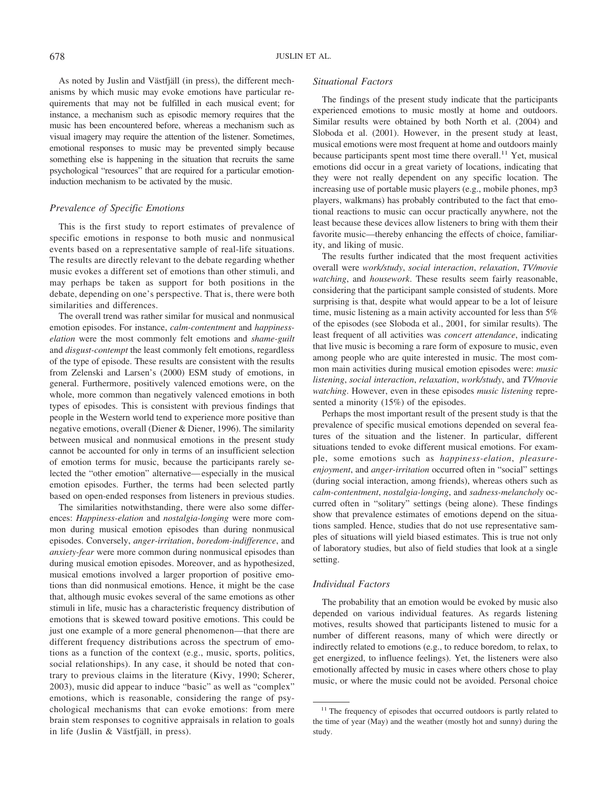As noted by Juslin and Västfjäll (in press), the different mechanisms by which music may evoke emotions have particular requirements that may not be fulfilled in each musical event; for instance, a mechanism such as episodic memory requires that the music has been encountered before, whereas a mechanism such as visual imagery may require the attention of the listener. Sometimes, emotional responses to music may be prevented simply because something else is happening in the situation that recruits the same psychological "resources" that are required for a particular emotioninduction mechanism to be activated by the music.

## *Prevalence of Specific Emotions*

This is the first study to report estimates of prevalence of specific emotions in response to both music and nonmusical events based on a representative sample of real-life situations. The results are directly relevant to the debate regarding whether music evokes a different set of emotions than other stimuli, and may perhaps be taken as support for both positions in the debate, depending on one's perspective. That is, there were both similarities and differences.

The overall trend was rather similar for musical and nonmusical emotion episodes. For instance, *calm-contentment* and *happinesselation* were the most commonly felt emotions and *shame-guilt* and *disgust-contempt* the least commonly felt emotions, regardless of the type of episode. These results are consistent with the results from Zelenski and Larsen's (2000) ESM study of emotions, in general. Furthermore, positively valenced emotions were, on the whole, more common than negatively valenced emotions in both types of episodes. This is consistent with previous findings that people in the Western world tend to experience more positive than negative emotions, overall (Diener & Diener, 1996). The similarity between musical and nonmusical emotions in the present study cannot be accounted for only in terms of an insufficient selection of emotion terms for music, because the participants rarely selected the "other emotion" alternative— especially in the musical emotion episodes. Further, the terms had been selected partly based on open-ended responses from listeners in previous studies.

The similarities notwithstanding, there were also some differences: *Happiness-elation* and *nostalgia-longing* were more common during musical emotion episodes than during nonmusical episodes. Conversely, *anger-irritation*, *boredom-indifference*, and *anxiety-fear* were more common during nonmusical episodes than during musical emotion episodes. Moreover, and as hypothesized, musical emotions involved a larger proportion of positive emotions than did nonmusical emotions. Hence, it might be the case that, although music evokes several of the same emotions as other stimuli in life, music has a characteristic frequency distribution of emotions that is skewed toward positive emotions. This could be just one example of a more general phenomenon—that there are different frequency distributions across the spectrum of emotions as a function of the context (e.g., music, sports, politics, social relationships). In any case, it should be noted that contrary to previous claims in the literature (Kivy, 1990; Scherer, 2003), music did appear to induce "basic" as well as "complex" emotions, which is reasonable, considering the range of psychological mechanisms that can evoke emotions: from mere brain stem responses to cognitive appraisals in relation to goals in life (Juslin & Västfjäll, in press).

## *Situational Factors*

The findings of the present study indicate that the participants experienced emotions to music mostly at home and outdoors. Similar results were obtained by both North et al. (2004) and Sloboda et al. (2001). However, in the present study at least, musical emotions were most frequent at home and outdoors mainly because participants spent most time there overall.<sup>11</sup> Yet, musical emotions did occur in a great variety of locations, indicating that they were not really dependent on any specific location. The increasing use of portable music players (e.g., mobile phones, mp3 players, walkmans) has probably contributed to the fact that emotional reactions to music can occur practically anywhere, not the least because these devices allow listeners to bring with them their favorite music—thereby enhancing the effects of choice, familiarity, and liking of music.

The results further indicated that the most frequent activities overall were *work/study*, *social interaction*, *relaxation*, *TV/movie watching*, and *housework*. These results seem fairly reasonable, considering that the participant sample consisted of students. More surprising is that, despite what would appear to be a lot of leisure time, music listening as a main activity accounted for less than 5% of the episodes (see Sloboda et al., 2001, for similar results). The least frequent of all activities was *concert attendance*, indicating that live music is becoming a rare form of exposure to music, even among people who are quite interested in music. The most common main activities during musical emotion episodes were: *music listening*, *social interaction*, *relaxation*, *work/study*, and *TV/movie watching*. However, even in these episodes *music listening* represented a minority (15%) of the episodes.

Perhaps the most important result of the present study is that the prevalence of specific musical emotions depended on several features of the situation and the listener. In particular, different situations tended to evoke different musical emotions. For example, some emotions such as *happiness-elation*, *pleasureenjoyment*, and *anger-irritation* occurred often in "social" settings (during social interaction, among friends), whereas others such as *calm-contentment*, *nostalgia-longing*, and *sadness-melancholy* occurred often in "solitary" settings (being alone). These findings show that prevalence estimates of emotions depend on the situations sampled. Hence, studies that do not use representative samples of situations will yield biased estimates. This is true not only of laboratory studies, but also of field studies that look at a single setting.

## *Individual Factors*

The probability that an emotion would be evoked by music also depended on various individual features. As regards listening motives, results showed that participants listened to music for a number of different reasons, many of which were directly or indirectly related to emotions (e.g., to reduce boredom, to relax, to get energized, to influence feelings). Yet, the listeners were also emotionally affected by music in cases where others chose to play music, or where the music could not be avoided. Personal choice

<sup>&</sup>lt;sup>11</sup> The frequency of episodes that occurred outdoors is partly related to the time of year (May) and the weather (mostly hot and sunny) during the study.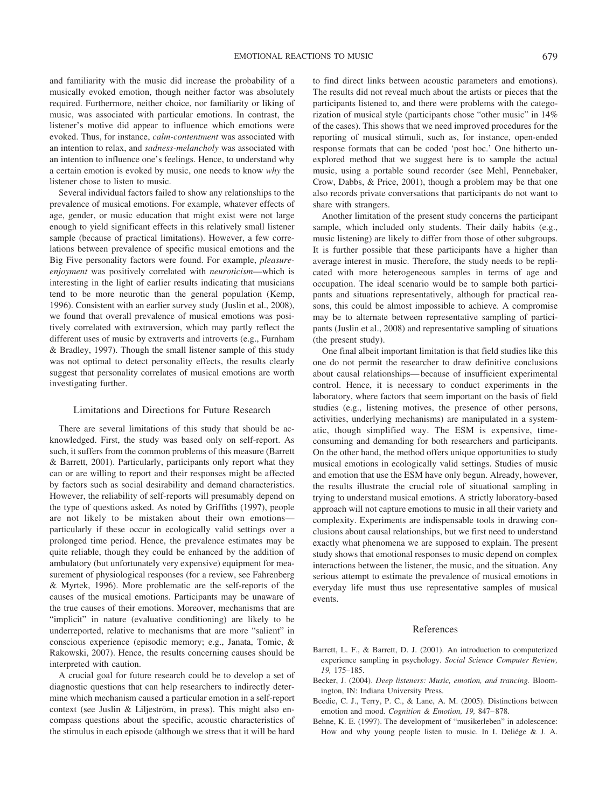and familiarity with the music did increase the probability of a musically evoked emotion, though neither factor was absolutely required. Furthermore, neither choice, nor familiarity or liking of music, was associated with particular emotions. In contrast, the listener's motive did appear to influence which emotions were evoked. Thus, for instance, *calm-contentment* was associated with an intention to relax, and *sadness-melancholy* was associated with an intention to influence one's feelings. Hence, to understand why a certain emotion is evoked by music, one needs to know *why* the listener chose to listen to music.

Several individual factors failed to show any relationships to the prevalence of musical emotions. For example, whatever effects of age, gender, or music education that might exist were not large enough to yield significant effects in this relatively small listener sample (because of practical limitations). However, a few correlations between prevalence of specific musical emotions and the Big Five personality factors were found. For example, *pleasureenjoyment* was positively correlated with *neuroticism*—which is interesting in the light of earlier results indicating that musicians tend to be more neurotic than the general population (Kemp, 1996). Consistent with an earlier survey study (Juslin et al., 2008), we found that overall prevalence of musical emotions was positively correlated with extraversion, which may partly reflect the different uses of music by extraverts and introverts (e.g., Furnham & Bradley, 1997). Though the small listener sample of this study was not optimal to detect personality effects, the results clearly suggest that personality correlates of musical emotions are worth investigating further.

## Limitations and Directions for Future Research

There are several limitations of this study that should be acknowledged. First, the study was based only on self-report. As such, it suffers from the common problems of this measure (Barrett & Barrett, 2001). Particularly, participants only report what they can or are willing to report and their responses might be affected by factors such as social desirability and demand characteristics. However, the reliability of self-reports will presumably depend on the type of questions asked. As noted by Griffiths (1997), people are not likely to be mistaken about their own emotions particularly if these occur in ecologically valid settings over a prolonged time period. Hence, the prevalence estimates may be quite reliable, though they could be enhanced by the addition of ambulatory (but unfortunately very expensive) equipment for measurement of physiological responses (for a review, see Fahrenberg & Myrtek, 1996). More problematic are the self-reports of the causes of the musical emotions. Participants may be unaware of the true causes of their emotions. Moreover, mechanisms that are "implicit" in nature (evaluative conditioning) are likely to be underreported, relative to mechanisms that are more "salient" in conscious experience (episodic memory; e.g., Janata, Tomic, & Rakowski, 2007). Hence, the results concerning causes should be interpreted with caution.

A crucial goal for future research could be to develop a set of diagnostic questions that can help researchers to indirectly determine which mechanism caused a particular emotion in a self-report context (see Juslin & Liljeström, in press). This might also encompass questions about the specific, acoustic characteristics of the stimulus in each episode (although we stress that it will be hard

to find direct links between acoustic parameters and emotions). The results did not reveal much about the artists or pieces that the participants listened to, and there were problems with the categorization of musical style (participants chose "other music" in 14% of the cases). This shows that we need improved procedures for the reporting of musical stimuli, such as, for instance, open-ended response formats that can be coded 'post hoc.' One hitherto unexplored method that we suggest here is to sample the actual music, using a portable sound recorder (see Mehl, Pennebaker, Crow, Dabbs, & Price, 2001), though a problem may be that one also records private conversations that participants do not want to share with strangers.

Another limitation of the present study concerns the participant sample, which included only students. Their daily habits (e.g., music listening) are likely to differ from those of other subgroups. It is further possible that these participants have a higher than average interest in music. Therefore, the study needs to be replicated with more heterogeneous samples in terms of age and occupation. The ideal scenario would be to sample both participants and situations representatively, although for practical reasons, this could be almost impossible to achieve. A compromise may be to alternate between representative sampling of participants (Juslin et al., 2008) and representative sampling of situations (the present study).

One final albeit important limitation is that field studies like this one do not permit the researcher to draw definitive conclusions about causal relationships— because of insufficient experimental control. Hence, it is necessary to conduct experiments in the laboratory, where factors that seem important on the basis of field studies (e.g., listening motives, the presence of other persons, activities, underlying mechanisms) are manipulated in a systematic, though simplified way. The ESM is expensive, timeconsuming and demanding for both researchers and participants. On the other hand, the method offers unique opportunities to study musical emotions in ecologically valid settings. Studies of music and emotion that use the ESM have only begun. Already, however, the results illustrate the crucial role of situational sampling in trying to understand musical emotions. A strictly laboratory-based approach will not capture emotions to music in all their variety and complexity. Experiments are indispensable tools in drawing conclusions about causal relationships, but we first need to understand exactly what phenomena we are supposed to explain. The present study shows that emotional responses to music depend on complex interactions between the listener, the music, and the situation. Any serious attempt to estimate the prevalence of musical emotions in everyday life must thus use representative samples of musical events.

#### References

- Barrett, L. F., & Barrett, D. J. (2001). An introduction to computerized experience sampling in psychology. *Social Science Computer Review, 19,* 175–185.
- Becker, J. (2004). *Deep listeners: Music, emotion, and trancing.* Bloomington, IN: Indiana University Press.
- Beedie, C. J., Terry, P. C., & Lane, A. M. (2005). Distinctions between emotion and mood. *Cognition & Emotion, 19, 847-878*.
- Behne, K. E. (1997). The development of "musikerleben" in adolescence: How and why young people listen to music. In I. Deliége & J. A.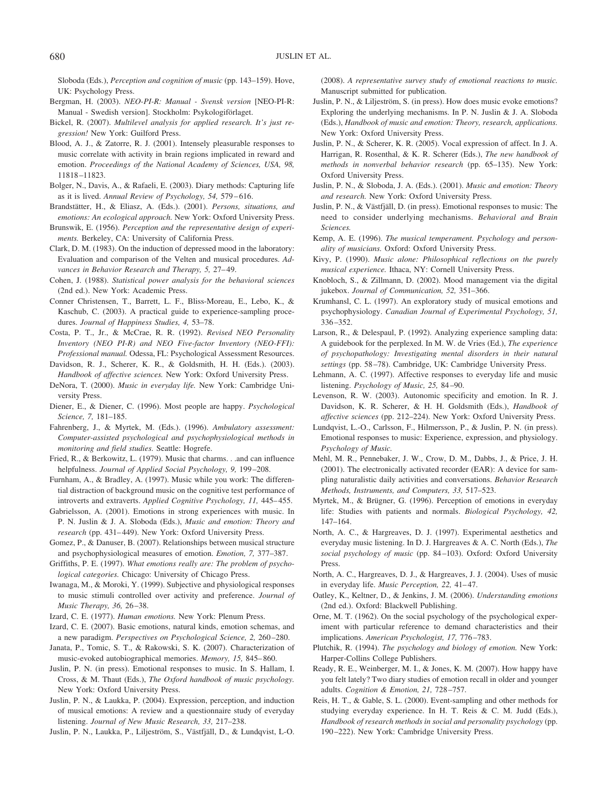Sloboda (Eds.), *Perception and cognition of music* (pp. 143–159). Hove, UK: Psychology Press.

- Bergman, H. (2003). *NEO-PI-R: Manual Svensk version* [NEO-PI-R: Manual - Swedish version]. Stockholm: Psykologiförlaget.
- Bickel, R. (2007). *Multilevel analysis for applied research. It's just regression!* New York: Guilford Press.
- Blood, A. J., & Zatorre, R. J. (2001). Intensely pleasurable responses to music correlate with activity in brain regions implicated in reward and emotion. *Proceedings of the National Academy of Sciences, USA, 98,* 11818 –11823.
- Bolger, N., Davis, A., & Rafaeli, E. (2003). Diary methods: Capturing life as it is lived. *Annual Review of Psychology, 54,* 579 – 616.
- Brandstätter, H., & Eliasz, A. (Eds.). (2001). *Persons, situations, and emotions: An ecological approach.* New York: Oxford University Press.
- Brunswik, E. (1956). *Perception and the representative design of experiments.* Berkeley, CA: University of California Press.
- Clark, D. M. (1983). On the induction of depressed mood in the laboratory: Evaluation and comparison of the Velten and musical procedures. *Advances in Behavior Research and Therapy, 5, 27–49.*
- Cohen, J. (1988). *Statistical power analysis for the behavioral sciences* (2nd ed.). New York: Academic Press.
- Conner Christensen, T., Barrett, L. F., Bliss-Moreau, E., Lebo, K., & Kaschub, C. (2003). A practical guide to experience-sampling procedures. *Journal of Happiness Studies, 4,* 53–78.
- Costa, P. T., Jr., & McCrae, R. R. (1992). *Revised NEO Personality Inventory (NEO PI-R) and NEO Five-factor Inventory (NEO-FFI): Professional manual.* Odessa, FL: Psychological Assessment Resources.
- Davidson, R. J., Scherer, K. R., & Goldsmith, H. H. (Eds.). (2003). *Handbook of affective sciences.* New York: Oxford University Press.
- DeNora, T. (2000). *Music in everyday life.* New York: Cambridge University Press.
- Diener, E., & Diener, C. (1996). Most people are happy. *Psychological Science, 7,* 181–185.
- Fahrenberg, J., & Myrtek, M. (Eds.). (1996). *Ambulatory assessment: Computer-assisted psychological and psychophysiological methods in monitoring and field studies.* Seattle: Hogrefe.
- Fried, R., & Berkowitz, L. (1979). Music that charms. . .and can influence helpfulness. *Journal of Applied Social Psychology, 9,* 199 –208.
- Furnham, A., & Bradley, A. (1997). Music while you work: The differential distraction of background music on the cognitive test performance of introverts and extraverts. *Applied Cognitive Psychology, 11, 445-455*.
- Gabrielsson, A. (2001). Emotions in strong experiences with music. In P. N. Juslin & J. A. Sloboda (Eds.), *Music and emotion: Theory and* research (pp. 431-449). New York: Oxford University Press.
- Gomez, P., & Danuser, B. (2007). Relationships between musical structure and psychophysiological measures of emotion. *Emotion, 7,* 377–387.
- Griffiths, P. E. (1997). *What emotions really are: The problem of psychological categories.* Chicago: University of Chicago Press.
- Iwanaga, M., & Moroki, Y. (1999). Subjective and physiological responses to music stimuli controlled over activity and preference. *Journal of Music Therapy, 36,* 26 –38.
- Izard, C. E. (1977). *Human emotions.* New York: Plenum Press.
- Izard, C. E. (2007). Basic emotions, natural kinds, emotion schemas, and a new paradigm. *Perspectives on Psychological Science, 2,* 260 –280.
- Janata, P., Tomic, S. T., & Rakowski, S. K. (2007). Characterization of music-evoked autobiographical memories. *Memory, 15,* 845– 860.
- Juslin, P. N. (in press). Emotional responses to music. In S. Hallam, I. Cross, & M. Thaut (Eds.), *The Oxford handbook of music psychology.* New York: Oxford University Press.
- Juslin, P. N., & Laukka, P. (2004). Expression, perception, and induction of musical emotions: A review and a questionnaire study of everyday listening. *Journal of New Music Research, 33,* 217–238.
- Juslin, P. N., Laukka, P., Liljeström, S., Västfjäll, D., & Lundqvist, L-O.

(2008). *A representative survey study of emotional reactions to music.* Manuscript submitted for publication.

- Juslin, P. N., & Liljeström, S. (in press). How does music evoke emotions? Exploring the underlying mechanisms. In P. N. Juslin & J. A. Sloboda (Eds.), *Handbook of music and emotion: Theory, research, applications.* New York: Oxford University Press.
- Juslin, P. N., & Scherer, K. R. (2005). Vocal expression of affect. In J. A. Harrigan, R. Rosenthal, & K. R. Scherer (Eds.), *The new handbook of methods in nonverbal behavior research* (pp. 65–135). New York: Oxford University Press.
- Juslin, P. N., & Sloboda, J. A. (Eds.). (2001). *Music and emotion: Theory and research.* New York: Oxford University Press.
- Juslin, P. N., & Västfjäll, D. (in press). Emotional responses to music: The need to consider underlying mechanisms. *Behavioral and Brain Sciences.*
- Kemp, A. E. (1996). *The musical temperament. Psychology and personality of musicians.* Oxford: Oxford University Press.
- Kivy, P. (1990). *Music alone: Philosophical reflections on the purely musical experience.* Ithaca, NY: Cornell University Press.
- Knobloch, S., & Zillmann, D. (2002). Mood management via the digital jukebox. *Journal of Communication, 52,* 351–366.
- Krumhansl, C. L. (1997). An exploratory study of musical emotions and psychophysiology. *Canadian Journal of Experimental Psychology, 51,* 336 –352.
- Larson, R., & Delespaul, P. (1992). Analyzing experience sampling data: A guidebook for the perplexed. In M. W. de Vries (Ed.), *The experience of psychopathology: Investigating mental disorders in their natural settings* (pp. 58 –78). Cambridge, UK: Cambridge University Press.
- Lehmann, A. C. (1997). Affective responses to everyday life and music listening. *Psychology of Music, 25,* 84 –90.
- Levenson, R. W. (2003). Autonomic specificity and emotion. In R. J. Davidson, K. R. Scherer, & H. H. Goldsmith (Eds.), *Handbook of affective sciences* (pp. 212–224). New York: Oxford University Press.
- Lundqvist, L.-O., Carlsson, F., Hilmersson, P., & Juslin, P. N. (in press). Emotional responses to music: Experience, expression, and physiology. *Psychology of Music.*
- Mehl, M. R., Pennebaker, J. W., Crow, D. M., Dabbs, J., & Price, J. H. (2001). The electronically activated recorder (EAR): A device for sampling naturalistic daily activities and conversations. *Behavior Research Methods, Instruments, and Computers, 33,* 517–523.
- Myrtek, M., & Brügner, G. (1996). Perception of emotions in everyday life: Studies with patients and normals. *Biological Psychology, 42,* 147–164.
- North, A. C., & Hargreaves, D. J. (1997). Experimental aesthetics and everyday music listening. In D. J. Hargreaves & A. C. North (Eds.), *The social psychology of music* (pp. 84 –103). Oxford: Oxford University Press.
- North, A. C., Hargreaves, D. J., & Hargreaves, J. J. (2004). Uses of music in everyday life. *Music Perception*, 22, 41-47.
- Oatley, K., Keltner, D., & Jenkins, J. M. (2006). *Understanding emotions* (2nd ed.). Oxford: Blackwell Publishing.
- Orne, M. T. (1962). On the social psychology of the psychological experiment with particular reference to demand characteristics and their implications. *American Psychologist, 17,* 776 –783.
- Plutchik, R. (1994). *The psychology and biology of emotion.* New York: Harper-Collins College Publishers.
- Ready, R. E., Weinberger, M. I., & Jones, K. M. (2007). How happy have you felt lately? Two diary studies of emotion recall in older and younger adults. *Cognition & Emotion, 21,* 728 –757.
- Reis, H. T., & Gable, S. L. (2000). Event-sampling and other methods for studying everyday experience. In H. T. Reis & C. M. Judd (Eds.), *Handbook of research methods in social and personality psychology* (pp. 190 –222). New York: Cambridge University Press.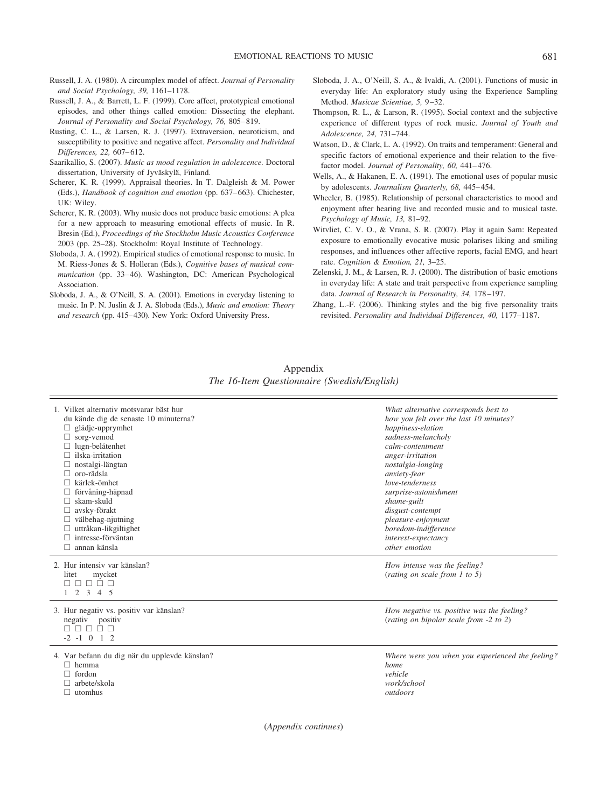- Russell, J. A. (1980). A circumplex model of affect. *Journal of Personality and Social Psychology, 39,* 1161–1178.
- Russell, J. A., & Barrett, L. F. (1999). Core affect, prototypical emotional episodes, and other things called emotion: Dissecting the elephant. *Journal of Personality and Social Psychology, 76,* 805– 819.
- Rusting, C. L., & Larsen, R. J. (1997). Extraversion, neuroticism, and susceptibility to positive and negative affect. *Personality and Individual Differences, 22,* 607– 612.
- Saarikallio, S. (2007). *Music as mood regulation in adolescence.* Doctoral dissertation, University of Jyväskylä, Finland.
- Scherer, K. R. (1999). Appraisal theories. In T. Dalgleish & M. Power (Eds.), *Handbook of cognition and emotion* (pp. 637– 663). Chichester, UK: Wiley.
- Scherer, K. R. (2003). Why music does not produce basic emotions: A plea for a new approach to measuring emotional effects of music. In R. Bresin (Ed.), *Proceedings of the Stockholm Music Acoustics Conference* 2003 (pp. 25–28). Stockholm: Royal Institute of Technology.
- Sloboda, J. A. (1992). Empirical studies of emotional response to music. In M. Riess-Jones & S. Holleran (Eds.), *Cognitive bases of musical com*munication (pp. 33-46). Washington, DC: American Psychological Association.
- Sloboda, J. A., & O'Neill, S. A. (2001). Emotions in everyday listening to music. In P. N. Juslin & J. A. Sloboda (Eds.), *Music and emotion: Theory* and research (pp. 415–430). New York: Oxford University Press.
- Sloboda, J. A., O'Neill, S. A., & Ivaldi, A. (2001). Functions of music in everyday life: An exploratory study using the Experience Sampling Method. *Musicae Scientiae, 5,* 9 –32.
- Thompson, R. L., & Larson, R. (1995). Social context and the subjective experience of different types of rock music. *Journal of Youth and Adolescence, 24,* 731–744.
- Watson, D., & Clark, L. A. (1992). On traits and temperament: General and specific factors of emotional experience and their relation to the fivefactor model. *Journal of Personality*, 60, 441-476.
- Wells, A., & Hakanen, E. A. (1991). The emotional uses of popular music by adolescents. *Journalism Quarterly, 68,* 445– 454.
- Wheeler, B. (1985). Relationship of personal characteristics to mood and enjoyment after hearing live and recorded music and to musical taste. *Psychology of Music, 13,* 81–92.
- Witvliet, C. V. O., & Vrana, S. R. (2007). Play it again Sam: Repeated exposure to emotionally evocative music polarises liking and smiling responses, and influences other affective reports, facial EMG, and heart rate. *Cognition & Emotion, 21,* 3–25.
- Zelenski, J. M., & Larsen, R. J. (2000). The distribution of basic emotions in everyday life: A state and trait perspective from experience sampling data. *Journal of Research in Personality, 34, 178-197.*
- Zhang, L.-F. (2006). Thinking styles and the big five personality traits revisited. *Personality and Individual Differences, 40,* 1177–1187.

| Appendix |                                             |
|----------|---------------------------------------------|
|          | The 16-Item Questionnaire (Swedish/English) |

| 1. Vilket alternativ motsvarar bäst hur                                          | What alternative corresponds best to                                                 |
|----------------------------------------------------------------------------------|--------------------------------------------------------------------------------------|
| du kände dig de senaste 10 minuterna?                                            | how you felt over the last 10 minutes?                                               |
| glädje-upprymhet                                                                 | happiness-elation                                                                    |
| sorg-vemod                                                                       | sadness-melancholy                                                                   |
| lugn-belåtenhet                                                                  | calm-contentment                                                                     |
| ilska-irritation                                                                 | anger-irritation                                                                     |
| nostalgi-längtan                                                                 | nostalgia-longing                                                                    |
| oro-rädsla                                                                       | anxiety-fear                                                                         |
| kärlek-ömhet                                                                     | love-tenderness                                                                      |
| förvåning-häpnad                                                                 | surprise-astonishment                                                                |
| skam-skuld                                                                       | shame-guilt                                                                          |
| avsky-förakt                                                                     | disgust-contempt                                                                     |
| välbehag-njutning                                                                | pleasure-enjoyment                                                                   |
| $\Box$ uttråkan-likgiltighet                                                     | boredom-indifference                                                                 |
| intresse-förväntan                                                               | interest-expectancy                                                                  |
| annan känsla                                                                     | other emotion                                                                        |
| 2. Hur intensiv var känslan?<br>mycket<br>litet<br>חחחח<br>2 3 4 5               | How intense was the feeling?<br>(rating on scale from 1 to 5)                        |
| 3. Hur negativ vs. positiv var känslan?<br>negativ<br>positiv<br>$-2$ $-1$ 0 1 2 | How negative vs. positive was the feeling?<br>(rating on bipolar scale from -2 to 2) |
| 4. Var befann du dig när du upplevde känslan?                                    | Where were you when you experienced the feeling?                                     |
| $\Box$ hemma                                                                     | home                                                                                 |
| $\Box$ fordon                                                                    | vehicle                                                                              |
| $\Box$ arbete/skola                                                              | work/school                                                                          |
| utomhus                                                                          | outdoors                                                                             |

(*Appendix continues*)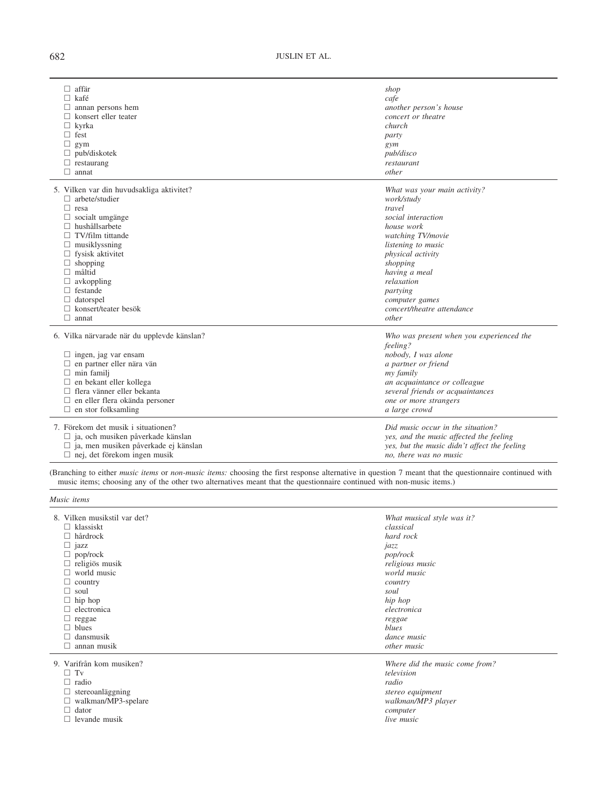| $\Box$ affär                                | shop                                         |
|---------------------------------------------|----------------------------------------------|
| $\Box$ kafé                                 | cafe                                         |
| $\Box$ annan persons hem                    | another person's house                       |
| $\Box$ konsert eller teater                 | concert or theatre                           |
| $\Box$ kyrka                                | church                                       |
| $\Box$ fest                                 | party                                        |
| $\Box$ gym                                  | gym                                          |
| $\Box$ pub/diskotek                         | <i>pub/disco</i>                             |
| $\Box$ restaurang                           | restaurant                                   |
| $\Box$ annat                                | other                                        |
| 5. Vilken var din huvudsakliga aktivitet?   | What was your main activity?                 |
| $\Box$ arbete/studier                       | work/study                                   |
| $\Box$ resa                                 | travel                                       |
| socialt umgänge                             | social interaction                           |
| $\Box$ hushållsarbete                       | house work                                   |
| $\Box$ TV/film tittande                     | watching TV/movie                            |
| $\Box$ musiklyssning                        | listening to music                           |
| $\Box$ fysisk aktivitet                     | physical activity                            |
| $\Box$ shopping                             | shopping                                     |
| $\Box$ måltid                               | having a meal                                |
| $\Box$ avkoppling                           | relaxation                                   |
| $\Box$ festande                             | partying                                     |
| $\Box$ datorspel                            | computer games                               |
| $\Box$ konsert/teater besök                 | concert/theatre attendance                   |
| $\Box$ annat                                | other                                        |
| 6. Vilka närvarade när du upplevde känslan? | Who was present when you experienced the     |
| ingen, jag var ensam                        | feeling?                                     |
| $\Box$                                      | nobody, I was alone                          |
| en partner eller nära vän                   | a partner or friend                          |
| $\Box$ min familj                           | my family                                    |
| en bekant eller kollega                     | an acquaintance or colleague                 |
| $\Box$ flera vänner eller bekanta           | several friends or acquaintances             |
| en eller flera okända personer              | one or more strangers                        |
| $\Box$ en stor folksamling                  | a large crowd                                |
| 7. Förekom det musik i situationen?         | Did music occur in the situation?            |
| $\Box$ ja, och musiken påverkade känslan    | yes, and the music affected the feeling      |
| $\Box$ ja, men musiken påverkade ej känslan | yes, but the music didn't affect the feeling |
| $\Box$ nej, det förekom ingen musik         | no, there was no music                       |

(Branching to either *music items* or *non-music items:* choosing the first response alternative in question 7 meant that the questionnaire continued with music items; choosing any of the other two alternatives meant that the questionnaire continued with non-music items.)

| Music items                               |                                         |
|-------------------------------------------|-----------------------------------------|
| 8. Vilken musikstil var det?<br>klassiskt | What musical style was it?<br>classical |
| hårdrock                                  | hard rock                               |
| $\Box$ jazz                               | jazz                                    |
| $\Box$ pop/rock                           | pop/rock                                |
| religiös musik                            | religious music                         |
| world music                               | world music                             |
| country                                   | country                                 |
| soul<br>П                                 | soul                                    |
| $\Box$ hip hop                            | hip hop                                 |
| electronica                               | electronica                             |
| reggae                                    | reggae                                  |
| blues                                     | blues                                   |
| dansmusik                                 | dance music                             |
| annan musik                               | other music                             |
| 9. Varifrån kom musiken?                  | Where did the music come from?          |
| $\Box$ Tv                                 | television                              |

- radio *radio*
- stereoanla¨ggning *stereo equipment*
- walkman/MP3-spelare *walkman/MP3 player*
- dator *computer*
- 

levande musik *live music*